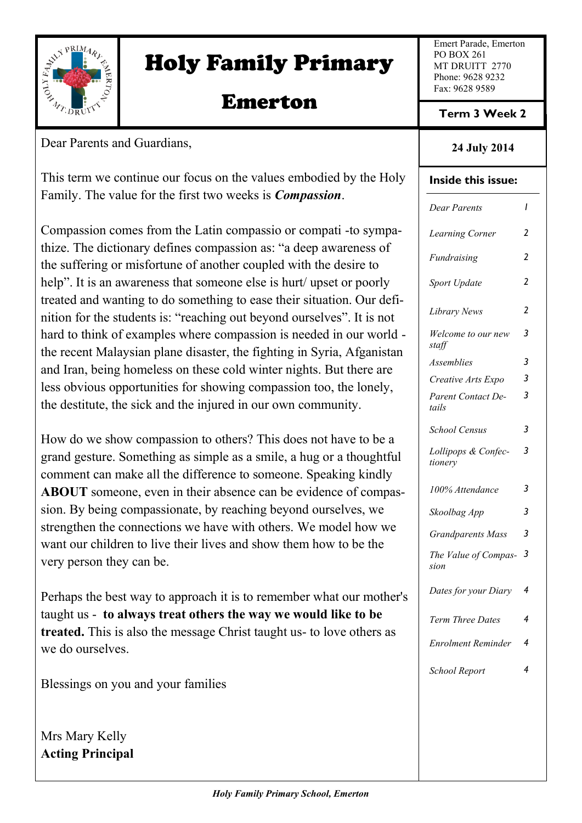

# Holy Family Primary

# Emerton

Dear Parents and Guardians,

This term we continue our focus on the values embodied by the Holy Family. The value for the first two weeks is *Compassion*.

Compassion comes from the Latin compassio or compati -to sympathize. The dictionary defines compassion as: "a deep awareness of the suffering or misfortune of another coupled with the desire to help". It is an awareness that someone else is hurt/upset or poorly treated and wanting to do something to ease their situation. Our definition for the students is: "reaching out beyond ourselves". It is not hard to think of examples where compassion is needed in our world the recent Malaysian plane disaster, the fighting in Syria, Afganistan and Iran, being homeless on these cold winter nights. But there are less obvious opportunities for showing compassion too, the lonely, the destitute, the sick and the injured in our own community.

How do we show compassion to others? This does not have to be a grand gesture. Something as simple as a smile, a hug or a thoughtful comment can make all the difference to someone. Speaking kindly **ABOUT** someone, even in their absence can be evidence of compassion. By being compassionate, by reaching beyond ourselves, we strengthen the connections we have with others. We model how we want our children to live their lives and show them how to be the very person they can be.

Perhaps the best way to approach it is to remember what our mother's taught us - **to always treat others the way we would like to be treated.** This is also the message Christ taught us- to love others as we do ourselves.

Blessings on you and your families

Mrs Mary Kelly **Acting Principal** Emert Parade, Emerton PO BOX 261 MT DRUITT 2770 Phone: 9628 9232 Fax: 9628 9589

**Term 3 Week 2**

#### **24 July 2014**

#### **Inside this issue:**

| Dear Parents                   | ı              |
|--------------------------------|----------------|
| Learning Corner                | 2              |
| Fundraising                    | $\overline{2}$ |
| Sport Update                   | 2              |
| Library News                   | 2              |
| Welcome to our new<br>staff    | 3              |
| Assemblies                     | 3              |
| Creative Arts Expo             | 3              |
| Parent Contact De-<br>tails    | 3              |
| School Census                  | 3              |
| Lollipops & Confec-<br>tionery | 3              |
| 100% Attendance                | 3              |
| Skoolbag App                   | 3              |
| <b>Grandparents Mass</b>       | 3              |
| The Value of Compas-<br>sion   | 3              |
| Dates for your Diary           | 4              |
| Term Three Dates               | 4              |
| Enrolment Reminder             | 4              |
| School Report                  | 4              |
|                                |                |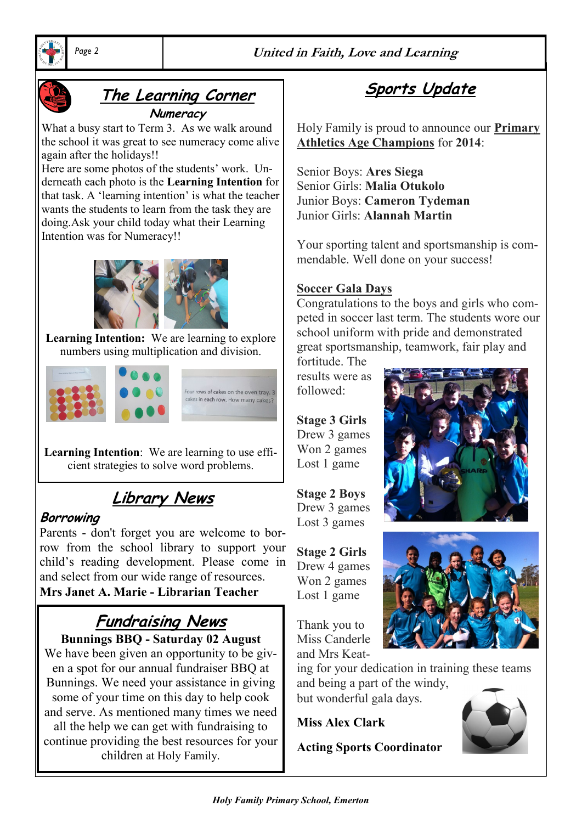*Page 2* **United in Faith, Love and Learning**





# **The Learning Corner**

**Numeracy** 

What a busy start to Term 3. As we walk around the school it was great to see numeracy come alive again after the holidays!!

Here are some photos of the students' work. Underneath each photo is the **Learning Intention** for that task. A 'learning intention' is what the teacher wants the students to learn from the task they are doing.Ask your child today what their Learning Intention was for Numeracy!!



**Learning Intention:** We are learning to explore numbers using multiplication and division.



**Learning Intention**: We are learning to use efficient strategies to solve word problems.

# **Library News**

#### **Borrowing**

Parents - don't forget you are welcome to borrow from the school library to support your child's reading development. Please come in and select from our wide range of resources. **Mrs Janet A. Marie - Librarian Teacher**

# **Fundraising News**

**Bunnings BBQ - Saturday 02 August**  We have been given an opportunity to be given a spot for our annual fundraiser BBQ at Bunnings. We need your assistance in giving some of your time on this day to help cook and serve. As mentioned many times we need all the help we can get with fundraising to continue providing the best resources for your children at Holy Family.

**Sports Update**

Holy Family is proud to announce our **Primary Athletics Age Champions** for **2014**:

Senior Boys: **Ares Siega** Senior Girls: **Malia Otukolo** Junior Boys: **Cameron Tydeman** Junior Girls: **Alannah Martin**

Your sporting talent and sportsmanship is commendable. Well done on your success!

#### **Soccer Gala Days**

Congratulations to the boys and girls who competed in soccer last term. The students wore our school uniform with pride and demonstrated great sportsmanship, teamwork, fair play and

fortitude. The results were as followed:

**Stage 3 Girls** Drew 3 games Won 2 games Lost 1 game

**Stage 2 Boys** Drew 3 games Lost 3 games

**Stage 2 Girls** Drew 4 games Won 2 games Lost 1 game

Thank you to Miss Canderle and Mrs Keat-

ing for your dedication in training these teams and being a part of the windy, but wonderful gala days.

**Miss Alex Clark** 

**Acting Sports Coordinator**

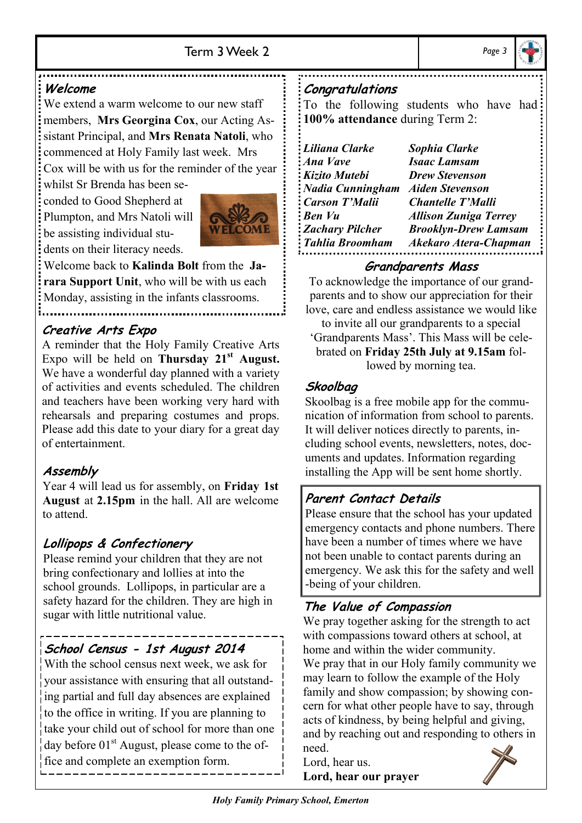

#### **Welcome**

We extend a warm welcome to our new staff members, **Mrs Georgina Cox**, our Acting Assistant Principal, and **Mrs Renata Natoli**, who commenced at Holy Family last week. Mrs Cox will be with us for the reminder of the year

whilst Sr Brenda has been seconded to Good Shepherd at Plumpton, and Mrs Natoli will be assisting individual stu-

dents on their literacy needs.



Welcome back to **Kalinda Bolt** from the **Jarara Support Unit**, who will be with us each Monday, assisting in the infants classrooms.

#### **Creative Arts Expo**

A reminder that the Holy Family Creative Arts Expo will be held on **Thursday 21st August.**  We have a wonderful day planned with a variety of activities and events scheduled. The children and teachers have been working very hard with rehearsals and preparing costumes and props. Please add this date to your diary for a great day of entertainment.

## **Assembly**

Year 4 will lead us for assembly, on **Friday 1st August** at **2.15pm** in the hall. All are welcome to attend.

# **Lollipops & Confectionery**

Please remind your children that they are not bring confectionary and lollies at into the school grounds. Lollipops, in particular are a safety hazard for the children. They are high in sugar with little nutritional value.

## **School Census - 1st August 2014**

With the school census next week, we ask for your assistance with ensuring that all outstanding partial and full day absences are explained to the office in writing. If you are planning to take your child out of school for more than one  $\frac{1}{4}$ day before 01<sup>st</sup> August, please come to the office and complete an exemption form.

#### **Congratulations**

To the following students who have had **100% attendance** during Term 2:

| Liliana Clarke          | Sophia Clarke                |
|-------------------------|------------------------------|
| <b>Ana Vave</b>         | <b>Isaac Lamsam</b>          |
| <b>Kizito Mutebi</b>    | <b>Drew Stevenson</b>        |
| <b>Nadia Cunningham</b> | <b>Aiden Stevenson</b>       |
| Carson T'Malii          | <b>Chantelle T'Malli</b>     |
| <b>Ben Vu</b>           | <b>Allison Zuniga Terrey</b> |
| <b>Zachary Pilcher</b>  | <b>Brooklyn-Drew Lamsam</b>  |
| Tahlia Broomham         | <b>Akekaro Atera-Chapman</b> |

#### **Grandparents Mass**

To acknowledge the importance of our grandparents and to show our appreciation for their love, care and endless assistance we would like

to invite all our grandparents to a special 'Grandparents Mass'. This Mass will be celebrated on **Friday 25th July at 9.15am** followed by morning tea.

## **Skoolbag**

Skoolbag is a free mobile app for the communication of information from school to parents. It will deliver notices directly to parents, including school events, newsletters, notes, documents and updates. Information regarding installing the App will be sent home shortly.

## **Parent Contact Details**

Please ensure that the school has your updated emergency contacts and phone numbers. There have been a number of times where we have not been unable to contact parents during an emergency. We ask this for the safety and well -being of your children.

# **The Value of Compassion**

We pray together asking for the strength to act with compassions toward others at school, at home and within the wider community. We pray that in our Holy family community we may learn to follow the example of the Holy family and show compassion; by showing concern for what other people have to say, through acts of kindness, by being helpful and giving, and by reaching out and responding to others in need.

Lord, hear us. **Lord, hear our prayer**